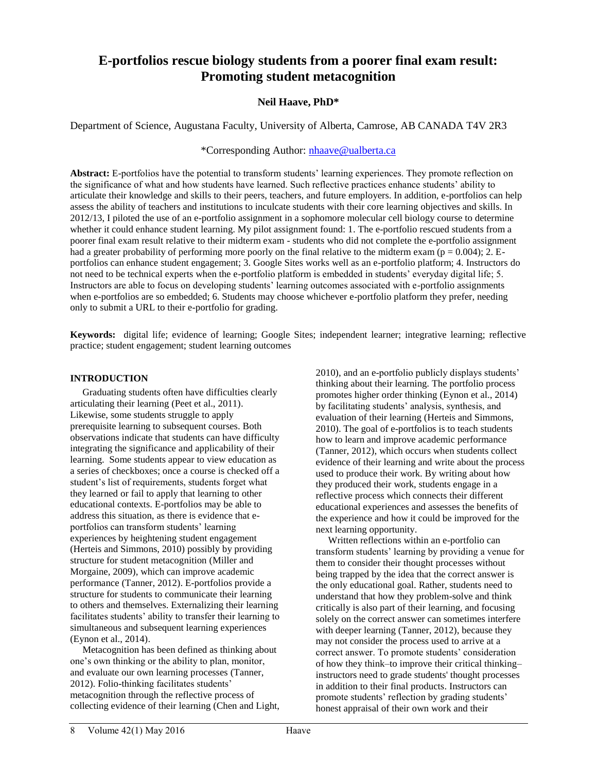# **E-portfolios rescue biology students from a poorer final exam result: Promoting student metacognition**

## **Neil Haave, PhD\***

Department of Science, Augustana Faculty, University of Alberta, Camrose, AB CANADA T4V 2R3

## \*Corresponding Author: [nhaave@ualberta.ca](mailto:nhaave@ualberta.ca)

**Abstract:** E-portfolios have the potential to transform students' learning experiences. They promote reflection on the significance of what and how students have learned. Such reflective practices enhance students' ability to articulate their knowledge and skills to their peers, teachers, and future employers. In addition, e-portfolios can help assess the ability of teachers and institutions to inculcate students with their core learning objectives and skills. In 2012/13, I piloted the use of an e-portfolio assignment in a sophomore molecular cell biology course to determine whether it could enhance student learning. My pilot assignment found: 1. The e-portfolio rescued students from a poorer final exam result relative to their midterm exam - students who did not complete the e-portfolio assignment had a greater probability of performing more poorly on the final relative to the midterm exam ( $p = 0.004$ ); 2. Eportfolios can enhance student engagement; 3. Google Sites works well as an e-portfolio platform; 4. Instructors do not need to be technical experts when the e-portfolio platform is embedded in students' everyday digital life; 5. Instructors are able to focus on developing students' learning outcomes associated with e-portfolio assignments when e-portfolios are so embedded; 6. Students may choose whichever e-portfolio platform they prefer, needing only to submit a URL to their e-portfolio for grading.

**Keywords:** digital life; evidence of learning; Google Sites; independent learner; integrative learning; reflective practice; student engagement; student learning outcomes

#### **INTRODUCTION**

 Graduating students often have difficulties clearly articulating their learning (Peet et al., 2011). Likewise, some students struggle to apply prerequisite learning to subsequent courses. Both observations indicate that students can have difficulty integrating the significance and applicability of their learning. Some students appear to view education as a series of checkboxes; once a course is checked off a student's list of requirements, students forget what they learned or fail to apply that learning to other educational contexts. E-portfolios may be able to address this situation, as there is evidence that eportfolios can transform students' learning experiences by heightening student engagement (Herteis and Simmons, 2010) possibly by providing structure for student metacognition (Miller and Morgaine, 2009), which can improve academic performance (Tanner, 2012). E-portfolios provide a structure for students to communicate their learning to others and themselves. Externalizing their learning facilitates students' ability to transfer their learning to simultaneous and subsequent learning experiences (Eynon et al., 2014).

 Metacognition has been defined as thinking about one's own thinking or the ability to plan, monitor, and evaluate our own learning processes (Tanner, 2012). Folio-thinking facilitates students' metacognition through the reflective process of collecting evidence of their learning (Chen and Light, 2010), and an e-portfolio publicly displays students' thinking about their learning. The portfolio process promotes higher order thinking (Eynon et al., 2014) by facilitating students' analysis, synthesis, and evaluation of their learning (Herteis and Simmons, 2010). The goal of e-portfolios is to teach students how to learn and improve academic performance (Tanner, 2012), which occurs when students collect evidence of their learning and write about the process used to produce their work. By writing about how they produced their work, students engage in a reflective process which connects their different educational experiences and assesses the benefits of the experience and how it could be improved for the next learning opportunity.

 Written reflections within an e-portfolio can transform students' learning by providing a venue for them to consider their thought processes without being trapped by the idea that the correct answer is the only educational goal. Rather, students need to understand that how they problem-solve and think critically is also part of their learning, and focusing solely on the correct answer can sometimes interfere with deeper learning (Tanner, 2012), because they may not consider the process used to arrive at a correct answer. To promote students' consideration of how they think–to improve their critical thinking– instructors need to grade students' thought processes in addition to their final products. Instructors can promote students' reflection by grading students' honest appraisal of their own work and their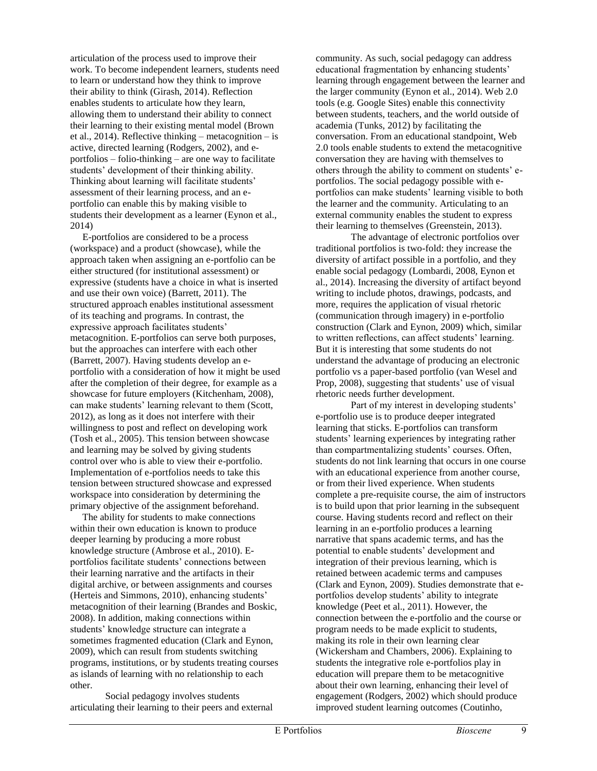articulation of the process used to improve their work. To become independent learners, students need to learn or understand how they think to improve their ability to think (Girash, 2014). Reflection enables students to articulate how they learn, allowing them to understand their ability to connect their learning to their existing mental model (Brown et al., 2014). Reflective thinking – metacognition – is active, directed learning (Rodgers, 2002), and eportfolios – folio-thinking – are one way to facilitate students' development of their thinking ability. Thinking about learning will facilitate students' assessment of their learning process, and an eportfolio can enable this by making visible to students their development as a learner (Eynon et al., 2014)

 E-portfolios are considered to be a process (workspace) and a product (showcase), while the approach taken when assigning an e-portfolio can be either structured (for institutional assessment) or expressive (students have a choice in what is inserted and use their own voice) (Barrett, 2011). The structured approach enables institutional assessment of its teaching and programs. In contrast, the expressive approach facilitates students' metacognition. E-portfolios can serve both purposes, but the approaches can interfere with each other (Barrett, 2007). Having students develop an eportfolio with a consideration of how it might be used after the completion of their degree, for example as a showcase for future employers (Kitchenham, 2008), can make students' learning relevant to them (Scott, 2012), as long as it does not interfere with their willingness to post and reflect on developing work (Tosh et al., 2005). This tension between showcase and learning may be solved by giving students control over who is able to view their e-portfolio. Implementation of e-portfolios needs to take this tension between structured showcase and expressed workspace into consideration by determining the primary objective of the assignment beforehand.

 The ability for students to make connections within their own education is known to produce deeper learning by producing a more robust knowledge structure (Ambrose et al., 2010). Eportfolios facilitate students' connections between their learning narrative and the artifacts in their digital archive, or between assignments and courses (Herteis and Simmons, 2010), enhancing students' metacognition of their learning (Brandes and Boskic, 2008). In addition, making connections within students' knowledge structure can integrate a sometimes fragmented education (Clark and Eynon, 2009), which can result from students switching programs, institutions, or by students treating courses as islands of learning with no relationship to each other.

Social pedagogy involves students articulating their learning to their peers and external community. As such, social pedagogy can address educational fragmentation by enhancing students' learning through engagement between the learner and the larger community (Eynon et al., 2014). Web 2.0 tools (e.g. Google Sites) enable this connectivity between students, teachers, and the world outside of academia (Tunks, 2012) by facilitating the conversation. From an educational standpoint, Web 2.0 tools enable students to extend the metacognitive conversation they are having with themselves to others through the ability to comment on students' eportfolios. The social pedagogy possible with eportfolios can make students' learning visible to both the learner and the community. Articulating to an external community enables the student to express their learning to themselves (Greenstein, 2013).

The advantage of electronic portfolios over traditional portfolios is two-fold: they increase the diversity of artifact possible in a portfolio, and they enable social pedagogy (Lombardi, 2008, Eynon et al., 2014). Increasing the diversity of artifact beyond writing to include photos, drawings, podcasts, and more, requires the application of visual rhetoric (communication through imagery) in e-portfolio construction (Clark and Eynon, 2009) which, similar to written reflections, can affect students' learning. But it is interesting that some students do not understand the advantage of producing an electronic portfolio vs a paper-based portfolio (van Wesel and Prop, 2008), suggesting that students' use of visual rhetoric needs further development.

Part of my interest in developing students' e-portfolio use is to produce deeper integrated learning that sticks. E-portfolios can transform students' learning experiences by integrating rather than compartmentalizing students' courses. Often, students do not link learning that occurs in one course with an educational experience from another course, or from their lived experience. When students complete a pre-requisite course, the aim of instructors is to build upon that prior learning in the subsequent course. Having students record and reflect on their learning in an e-portfolio produces a learning narrative that spans academic terms, and has the potential to enable students' development and integration of their previous learning, which is retained between academic terms and campuses (Clark and Eynon, 2009). Studies demonstrate that eportfolios develop students' ability to integrate knowledge (Peet et al., 2011). However, the connection between the e-portfolio and the course or program needs to be made explicit to students, making its role in their own learning clear (Wickersham and Chambers, 2006). Explaining to students the integrative role e-portfolios play in education will prepare them to be metacognitive about their own learning, enhancing their level of engagement (Rodgers, 2002) which should produce improved student learning outcomes (Coutinho,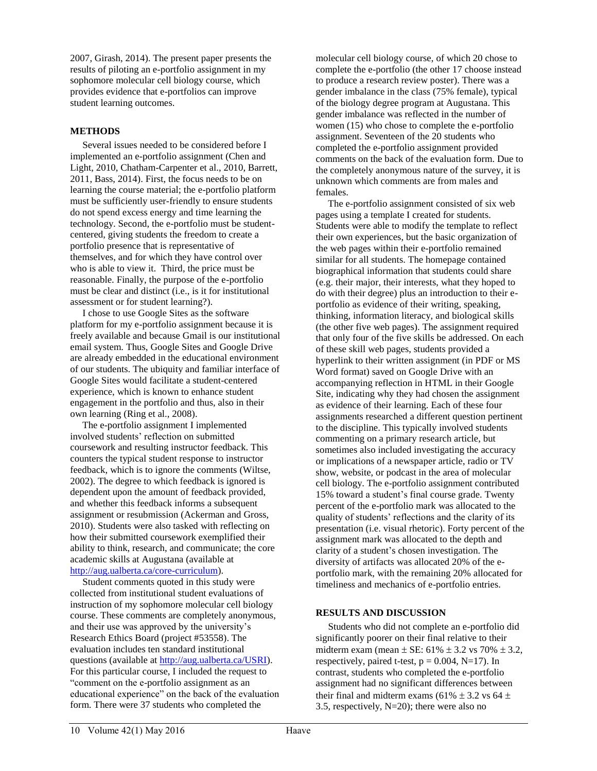2007, Girash, 2014). The present paper presents the results of piloting an e-portfolio assignment in my sophomore molecular cell biology course, which provides evidence that e-portfolios can improve student learning outcomes.

## **METHODS**

 Several issues needed to be considered before I implemented an e-portfolio assignment (Chen and Light, 2010, Chatham-Carpenter et al., 2010, Barrett, 2011, Bass, 2014). First, the focus needs to be on learning the course material; the e-portfolio platform must be sufficiently user-friendly to ensure students do not spend excess energy and time learning the technology. Second, the e-portfolio must be studentcentered, giving students the freedom to create a portfolio presence that is representative of themselves, and for which they have control over who is able to view it. Third, the price must be reasonable. Finally, the purpose of the e-portfolio must be clear and distinct (i.e., is it for institutional assessment or for student learning?).

 I chose to use Google Sites as the software platform for my e-portfolio assignment because it is freely available and because Gmail is our institutional email system. Thus, Google Sites and Google Drive are already embedded in the educational environment of our students. The ubiquity and familiar interface of Google Sites would facilitate a student-centered experience, which is known to enhance student engagement in the portfolio and thus, also in their own learning (Ring et al., 2008).

 The e-portfolio assignment I implemented involved students' reflection on submitted coursework and resulting instructor feedback. This counters the typical student response to instructor feedback, which is to ignore the comments (Wiltse, 2002). The degree to which feedback is ignored is dependent upon the amount of feedback provided, and whether this feedback informs a subsequent assignment or resubmission (Ackerman and Gross, 2010). Students were also tasked with reflecting on how their submitted coursework exemplified their ability to think, research, and communicate; the core academic skills at Augustana (available at [http://aug.ualberta.ca/core-curriculum\)](http://aug.ualberta.ca/core-curriculum%29).

 Student comments quoted in this study were collected from institutional student evaluations of instruction of my sophomore molecular cell biology course. These comments are completely anonymous, and their use was approved by the university's Research Ethics Board (project #53558). The evaluation includes ten standard institutional questions (available at [http://aug.ualberta.ca/USRI\)](http://aug.ualberta.ca/USRI). For this particular course, I included the request to "comment on the e-portfolio assignment as an educational experience" on the back of the evaluation form. There were 37 students who completed the

molecular cell biology course, of which 20 chose to complete the e-portfolio (the other 17 choose instead to produce a research review poster). There was a gender imbalance in the class (75% female), typical of the biology degree program at Augustana. This gender imbalance was reflected in the number of women (15) who chose to complete the e-portfolio assignment. Seventeen of the 20 students who completed the e-portfolio assignment provided comments on the back of the evaluation form. Due to the completely anonymous nature of the survey, it is unknown which comments are from males and females.

 The e-portfolio assignment consisted of six web pages using a template I created for students. Students were able to modify the template to reflect their own experiences, but the basic organization of the web pages within their e-portfolio remained similar for all students. The homepage contained biographical information that students could share (e.g. their major, their interests, what they hoped to do with their degree) plus an introduction to their eportfolio as evidence of their writing, speaking, thinking, information literacy, and biological skills (the other five web pages). The assignment required that only four of the five skills be addressed. On each of these skill web pages, students provided a hyperlink to their written assignment (in PDF or MS Word format) saved on Google Drive with an accompanying reflection in HTML in their Google Site, indicating why they had chosen the assignment as evidence of their learning. Each of these four assignments researched a different question pertinent to the discipline. This typically involved students commenting on a primary research article, but sometimes also included investigating the accuracy or implications of a newspaper article, radio or TV show, website, or podcast in the area of molecular cell biology. The e-portfolio assignment contributed 15% toward a student's final course grade. Twenty percent of the e-portfolio mark was allocated to the quality of students' reflections and the clarity of its presentation (i.e. visual rhetoric). Forty percent of the assignment mark was allocated to the depth and clarity of a student's chosen investigation. The diversity of artifacts was allocated 20% of the eportfolio mark, with the remaining 20% allocated for timeliness and mechanics of e-portfolio entries.

#### **RESULTS AND DISCUSSION**

 Students who did not complete an e-portfolio did significantly poorer on their final relative to their midterm exam (mean  $\pm$  SE: 61%  $\pm$  3.2 vs 70%  $\pm$  3.2, respectively, paired t-test,  $p = 0.004$ , N=17). In contrast, students who completed the e-portfolio assignment had no significant differences between their final and midterm exams (61%  $\pm$  3.2 vs 64  $\pm$ 3.5, respectively, N=20); there were also no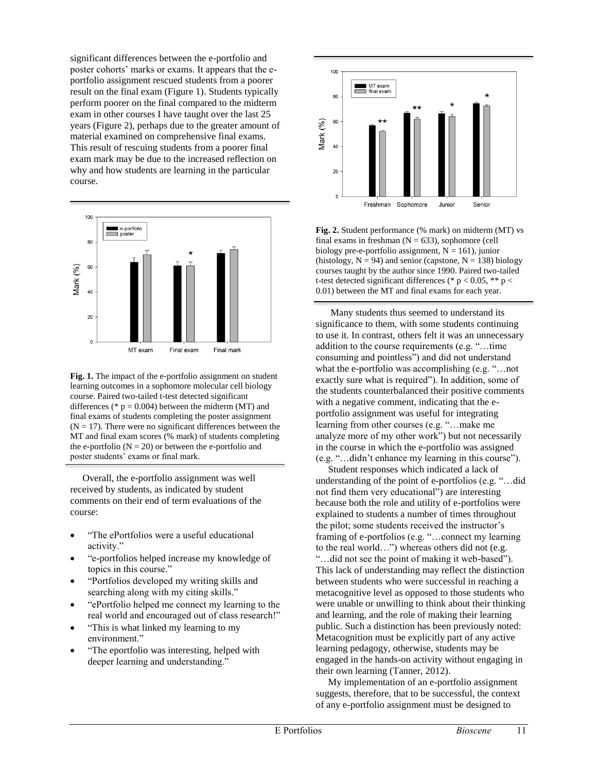significant differences between the e-portfolio and poster cohorts' marks or exams. It appears that the eportfolio assignment rescued students from a poorer result on the final exam (Figure 1). Students typically perform poorer on the final compared to the midterm exam in other courses I have taught over the last 25 years (Figure 2), perhaps due to the greater amount of material examined on comprehensive final exams. This result of rescuing students from a poorer final exam mark may be due to the increased reflection on why and how students are learning in the particular course.



**Fig. 1.** The impact of the e-portfolio assignment on student learning outcomes in a sophomore molecular cell biology course. Paired two-tailed t-test detected significant differences (\*  $p = 0.004$ ) between the midterm (MT) and final exams of students completing the poster assignment  $(N = 17)$ . There were no significant differences between the MT and final exam scores (% mark) of students completing the e-portfolio  $(N = 20)$  or between the e-portfolio and poster students' exams or final mark.

 Overall, the e-portfolio assignment was well received by students, as indicated by student comments on their end of term evaluations of the course:

- "The ePortfolios were a useful educational activity."
- "e-portfolios helped increase my knowledge of topics in this course."
- "Portfolios developed my writing skills and searching along with my citing skills."
- "ePortfolio helped me connect my learning to the real world and encouraged out of class research!"
- "This is what linked my learning to my environment."
- "The eportfolio was interesting, helped with deeper learning and understanding."



**Fig. 2.** Student performance (% mark) on midterm (MT) vs final exams in freshman  $(N = 633)$ , sophomore (cell biology pre-e-portfolio assignment,  $N = 161$ ), junior (histology,  $N = 94$ ) and senior (capstone,  $N = 138$ ) biology courses taught by the author since 1990. Paired two-tailed t-test detected significant differences (\*  $p < 0.05$ , \*\*  $p <$ 0.01) between the MT and final exams for each year.

 Many students thus seemed to understand its significance to them, with some students continuing to use it. In contrast, others felt it was an unnecessary addition to the course requirements (e.g. "…time consuming and pointless") and did not understand what the e-portfolio was accomplishing (e.g. "...not exactly sure what is required"). In addition, some of the students counterbalanced their positive comments with a negative comment, indicating that the eportfolio assignment was useful for integrating learning from other courses (e.g. "…make me analyze more of my other work") but not necessarily in the course in which the e-portfolio was assigned (e.g. "…didn't enhance my learning in this course").

 Student responses which indicated a lack of understanding of the point of e-portfolios (e.g. "…did not find them very educational") are interesting because both the role and utility of e-portfolios were explained to students a number of times throughout the pilot; some students received the instructor's framing of e-portfolios (e.g. "…connect my learning to the real world…") whereas others did not (e.g. "…did not see the point of making it web-based"). This lack of understanding may reflect the distinction between students who were successful in reaching a metacognitive level as opposed to those students who were unable or unwilling to think about their thinking and learning, and the role of making their learning public. Such a distinction has been previously noted: Metacognition must be explicitly part of any active learning pedagogy, otherwise, students may be engaged in the hands-on activity without engaging in their own learning (Tanner, 2012).

 My implementation of an e-portfolio assignment suggests, therefore, that to be successful, the context of any e-portfolio assignment must be designed to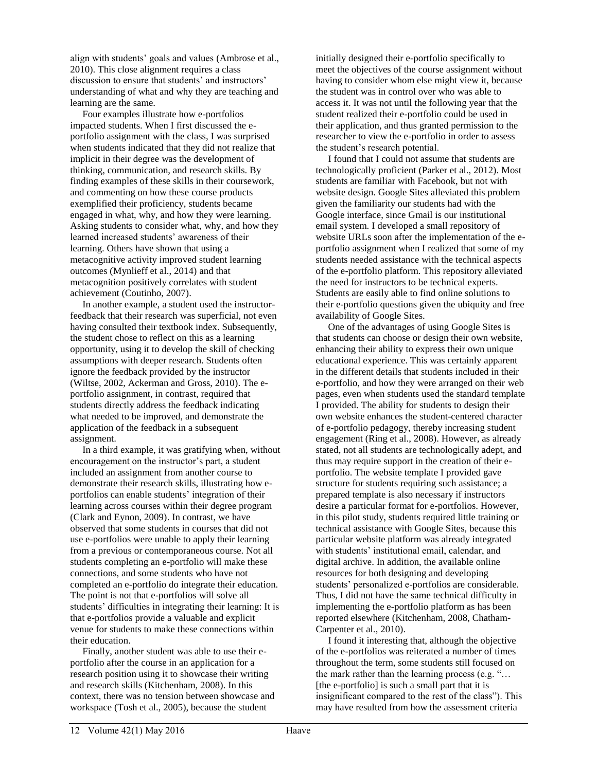align with students' goals and values (Ambrose et al., 2010). This close alignment requires a class discussion to ensure that students' and instructors' understanding of what and why they are teaching and learning are the same.

 Four examples illustrate how e-portfolios impacted students. When I first discussed the eportfolio assignment with the class, I was surprised when students indicated that they did not realize that implicit in their degree was the development of thinking, communication, and research skills. By finding examples of these skills in their coursework, and commenting on how these course products exemplified their proficiency, students became engaged in what, why, and how they were learning. Asking students to consider what, why, and how they learned increased students' awareness of their learning. Others have shown that using a metacognitive activity improved student learning outcomes (Mynlieff et al., 2014) and that metacognition positively correlates with student achievement (Coutinho, 2007).

 In another example, a student used the instructorfeedback that their research was superficial, not even having consulted their textbook index. Subsequently, the student chose to reflect on this as a learning opportunity, using it to develop the skill of checking assumptions with deeper research. Students often ignore the feedback provided by the instructor (Wiltse, 2002, Ackerman and Gross, 2010). The eportfolio assignment, in contrast, required that students directly address the feedback indicating what needed to be improved, and demonstrate the application of the feedback in a subsequent assignment.

 In a third example, it was gratifying when, without encouragement on the instructor's part, a student included an assignment from another course to demonstrate their research skills, illustrating how eportfolios can enable students' integration of their learning across courses within their degree program (Clark and Eynon, 2009). In contrast, we have observed that some students in courses that did not use e-portfolios were unable to apply their learning from a previous or contemporaneous course. Not all students completing an e-portfolio will make these connections, and some students who have not completed an e-portfolio do integrate their education. The point is not that e-portfolios will solve all students' difficulties in integrating their learning: It is that e-portfolios provide a valuable and explicit venue for students to make these connections within their education.

 Finally, another student was able to use their eportfolio after the course in an application for a research position using it to showcase their writing and research skills (Kitchenham, 2008). In this context, there was no tension between showcase and workspace (Tosh et al., 2005), because the student

initially designed their e-portfolio specifically to meet the objectives of the course assignment without having to consider whom else might view it, because the student was in control over who was able to access it. It was not until the following year that the student realized their e-portfolio could be used in their application, and thus granted permission to the researcher to view the e-portfolio in order to assess the student's research potential.

 I found that I could not assume that students are technologically proficient (Parker et al., 2012). Most students are familiar with Facebook, but not with website design. Google Sites alleviated this problem given the familiarity our students had with the Google interface, since Gmail is our institutional email system. I developed a small repository of website URLs soon after the implementation of the eportfolio assignment when I realized that some of my students needed assistance with the technical aspects of the e-portfolio platform. This repository alleviated the need for instructors to be technical experts. Students are easily able to find online solutions to their e-portfolio questions given the ubiquity and free availability of Google Sites.

 One of the advantages of using Google Sites is that students can choose or design their own website, enhancing their ability to express their own unique educational experience. This was certainly apparent in the different details that students included in their e-portfolio, and how they were arranged on their web pages, even when students used the standard template I provided. The ability for students to design their own website enhances the student-centered character of e-portfolio pedagogy, thereby increasing student engagement (Ring et al., 2008). However, as already stated, not all students are technologically adept, and thus may require support in the creation of their eportfolio. The website template I provided gave structure for students requiring such assistance; a prepared template is also necessary if instructors desire a particular format for e-portfolios. However, in this pilot study, students required little training or technical assistance with Google Sites, because this particular website platform was already integrated with students' institutional email, calendar, and digital archive. In addition, the available online resources for both designing and developing students' personalized e-portfolios are considerable. Thus, I did not have the same technical difficulty in implementing the e-portfolio platform as has been reported elsewhere (Kitchenham, 2008, Chatham-Carpenter et al., 2010).

 I found it interesting that, although the objective of the e-portfolios was reiterated a number of times throughout the term, some students still focused on the mark rather than the learning process (e.g. "… [the e-portfolio] is such a small part that it is insignificant compared to the rest of the class"). This may have resulted from how the assessment criteria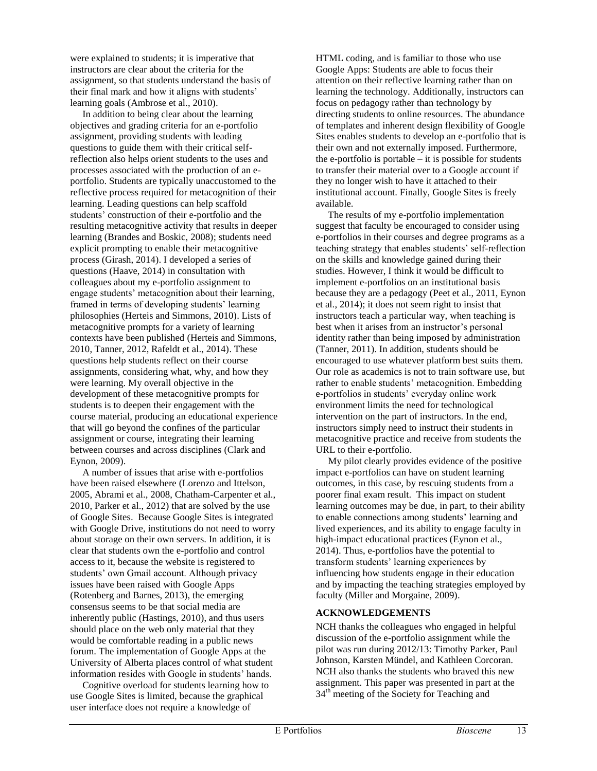were explained to students; it is imperative that instructors are clear about the criteria for the assignment, so that students understand the basis of their final mark and how it aligns with students' learning goals (Ambrose et al., 2010).

 In addition to being clear about the learning objectives and grading criteria for an e-portfolio assignment, providing students with leading questions to guide them with their critical selfreflection also helps orient students to the uses and processes associated with the production of an eportfolio. Students are typically unaccustomed to the reflective process required for metacognition of their learning. Leading questions can help scaffold students' construction of their e-portfolio and the resulting metacognitive activity that results in deeper learning (Brandes and Boskic, 2008); students need explicit prompting to enable their metacognitive process (Girash, 2014). I developed a series of questions (Haave, 2014) in consultation with colleagues about my e-portfolio assignment to engage students' metacognition about their learning, framed in terms of developing students' learning philosophies (Herteis and Simmons, 2010). Lists of metacognitive prompts for a variety of learning contexts have been published (Herteis and Simmons, 2010, Tanner, 2012, Rafeldt et al., 2014). These questions help students reflect on their course assignments, considering what, why, and how they were learning. My overall objective in the development of these metacognitive prompts for students is to deepen their engagement with the course material, producing an educational experience that will go beyond the confines of the particular assignment or course, integrating their learning between courses and across disciplines (Clark and Eynon, 2009).

 A number of issues that arise with e-portfolios have been raised elsewhere (Lorenzo and Ittelson, 2005, Abrami et al., 2008, Chatham-Carpenter et al., 2010, Parker et al., 2012) that are solved by the use of Google Sites. Because Google Sites is integrated with Google Drive, institutions do not need to worry about storage on their own servers. In addition, it is clear that students own the e-portfolio and control access to it, because the website is registered to students' own Gmail account. Although privacy issues have been raised with Google Apps (Rotenberg and Barnes, 2013), the emerging consensus seems to be that social media are inherently public (Hastings, 2010), and thus users should place on the web only material that they would be comfortable reading in a public news forum. The implementation of Google Apps at the University of Alberta places control of what student information resides with Google in students' hands.

 Cognitive overload for students learning how to use Google Sites is limited, because the graphical user interface does not require a knowledge of

HTML coding, and is familiar to those who use Google Apps: Students are able to focus their attention on their reflective learning rather than on learning the technology. Additionally, instructors can focus on pedagogy rather than technology by directing students to online resources. The abundance of templates and inherent design flexibility of Google Sites enables students to develop an e-portfolio that is their own and not externally imposed. Furthermore, the e-portfolio is portable  $-$  it is possible for students to transfer their material over to a Google account if they no longer wish to have it attached to their institutional account. Finally, Google Sites is freely available.

 The results of my e-portfolio implementation suggest that faculty be encouraged to consider using e-portfolios in their courses and degree programs as a teaching strategy that enables students' self-reflection on the skills and knowledge gained during their studies. However, I think it would be difficult to implement e-portfolios on an institutional basis because they are a pedagogy (Peet et al., 2011, Eynon et al., 2014); it does not seem right to insist that instructors teach a particular way, when teaching is best when it arises from an instructor's personal identity rather than being imposed by administration (Tanner, 2011). In addition, students should be encouraged to use whatever platform best suits them. Our role as academics is not to train software use, but rather to enable students' metacognition. Embedding e-portfolios in students' everyday online work environment limits the need for technological intervention on the part of instructors. In the end, instructors simply need to instruct their students in metacognitive practice and receive from students the URL to their e-portfolio.

 My pilot clearly provides evidence of the positive impact e-portfolios can have on student learning outcomes, in this case, by rescuing students from a poorer final exam result. This impact on student learning outcomes may be due, in part, to their ability to enable connections among students' learning and lived experiences, and its ability to engage faculty in high-impact educational practices (Eynon et al., 2014). Thus, e-portfolios have the potential to transform students' learning experiences by influencing how students engage in their education and by impacting the teaching strategies employed by faculty (Miller and Morgaine, 2009).

## **ACKNOWLEDGEMENTS**

NCH thanks the colleagues who engaged in helpful discussion of the e-portfolio assignment while the pilot was run during 2012/13: Timothy Parker, Paul Johnson, Karsten Mündel, and Kathleen Corcoran. NCH also thanks the students who braved this new assignment. This paper was presented in part at the  $34<sup>th</sup>$  meeting of the Society for Teaching and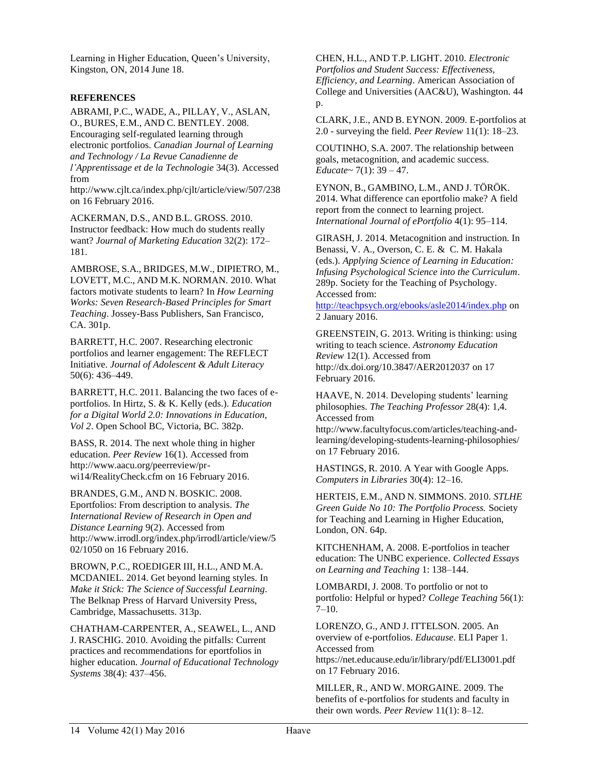Learning in Higher Education, Queen's University, Kingston, ON, 2014 June 18.

#### **REFERENCES**

ABRAMI, P.C., WADE, A., PILLAY, V., ASLAN, O., BURES, E.M., AND C. BENTLEY. 2008. Encouraging self-regulated learning through electronic portfolios. *Canadian Journal of Learning and Technology / La Revue Canadienne de l'Apprentissage et de la Technologie* 34(3). Accessed from

http://www.cjlt.ca/index.php/cjlt/article/view/507/238 on 16 February 2016.

ACKERMAN, D.S., AND B.L. GROSS. 2010. Instructor feedback: How much do students really want? *Journal of Marketing Education* 32(2): 172– 181.

AMBROSE, S.A., BRIDGES, M.W., DIPIETRO, M., LOVETT, M.C., AND M.K. NORMAN. 2010. What factors motivate students to learn? In *How Learning Works: Seven Research-Based Principles for Smart Teaching*. Jossey-Bass Publishers, San Francisco, CA. 301p.

BARRETT, H.C. 2007. Researching electronic portfolios and learner engagement: The REFLECT Initiative. *Journal of Adolescent & Adult Literacy* 50(6): 436–449.

BARRETT, H.C. 2011. Balancing the two faces of eportfolios. In Hirtz, S. & K. Kelly (eds.). *Education for a Digital World 2.0: Innovations in Education, Vol 2*. Open School BC, Victoria, BC. 382p.

BASS, R. 2014. The next whole thing in higher education. *Peer Review* 16(1). Accessed from http://www.aacu.org/peerreview/prwi14/RealityCheck.cfm on 16 February 2016.

BRANDES, G.M., AND N. BOSKIC. 2008. Eportfolios: From description to analysis. *The International Review of Research in Open and Distance Learning* 9(2). Accessed from http://www.irrodl.org/index.php/irrodl/article/view/5 02/1050 on 16 February 2016.

BROWN, P.C., ROEDIGER III, H.L., AND M.A. MCDANIEL. 2014. Get beyond learning styles. In *Make it Stick: The Science of Successful Learning*. The Belknap Press of Harvard University Press, Cambridge, Massachusetts. 313p.

CHATHAM-CARPENTER, A., SEAWEL, L., AND J. RASCHIG. 2010. Avoiding the pitfalls: Current practices and recommendations for eportfolios in higher education. *Journal of Educational Technology Systems* 38(4): 437–456.

CHEN, H.L., AND T.P. LIGHT. 2010. *Electronic Portfolios and Student Success: Effectiveness, Efficiency, and Learning*. American Association of College and Universities (AAC&U), Washington. 44 p.

CLARK, J.E., AND B. EYNON. 2009. E-portfolios at 2.0 - surveying the field. *Peer Review* 11(1): 18–23.

COUTINHO, S.A. 2007. The relationship between goals, metacognition, and academic success. *Educate~* 7(1): 39 – 47.

EYNON, B., GAMBINO, L.M., AND J. TÖRÖK. 2014. What difference can eportfolio make? A field report from the connect to learning project. *International Journal of ePortfolio* 4(1): 95–114.

GIRASH, J. 2014. Metacognition and instruction. In Benassi, V. A., Overson, C. E. & C. M. Hakala (eds.). *Applying Science of Learning in Education: Infusing Psychological Science into the Curriculum*. 289p. Society for the Teaching of Psychology. Accessed from:

<http://teachpsych.org/ebooks/asle2014/index.php> on 2 January 2016.

GREENSTEIN, G. 2013. Writing is thinking: using writing to teach science. *Astronomy Education Review* 12(1). Accessed from http://dx.doi.org/10.3847/AER2012037 on 17 February 2016.

HAAVE, N. 2014. Developing students' learning philosophies. *The Teaching Professor* 28(4): 1,4. Accessed from

http://www.facultyfocus.com/articles/teaching-andlearning/developing-students-learning-philosophies/ on 17 February 2016.

HASTINGS, R. 2010. A Year with Google Apps. *Computers in Libraries* 30(4): 12–16.

HERTEIS, E.M., AND N. SIMMONS. 2010. *STLHE Green Guide No 10: The Portfolio Process.* Society for Teaching and Learning in Higher Education, London, ON. 64p.

KITCHENHAM, A. 2008. E-portfolios in teacher education: The UNBC experience. *Collected Essays on Learning and Teaching* 1: 138–144.

LOMBARDI, J. 2008. To portfolio or not to portfolio: Helpful or hyped? *College Teaching* 56(1): 7–10.

LORENZO, G., AND J. ITTELSON. 2005. An overview of e-portfolios. *Educause*. ELI Paper 1. Accessed from

https://net.educause.edu/ir/library/pdf/ELI3001.pdf on 17 February 2016.

MILLER, R., AND W. MORGAINE. 2009. The benefits of e-portfolios for students and faculty in their own words. *Peer Review* 11(1): 8–12.